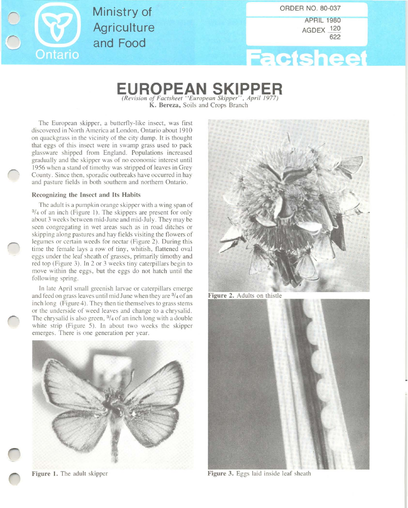

Ministry of **Agriculture** and Food

ORDER NO. 80-037

APRIL 1980 AGDEX 120 622



# $E$ **UROPEAN SKIPPER**

K. Bereza, Soils and Crops Braneh

The European skipper, a butterfly-like insect, was first discovered in North America at London, Ontario about 1910 on quackgrass in the vicinity of the city dump. It is thought that eggs of this insect were in swamp grass used to pack glassware shipped from England. Populations increased gradually and the skipper was of no economic interest until 1956 when a stand of timothy was stripped of leaves in Grey County. Since then. sporadic outbreaks have occurred in hay and pasture fields in both southern and northern Ontario.

# Recognizing the Insect and Its Habits

The adult is a pumpkin orange skipper with a wing span of  $3/4$  of an inch (Figure 1). The skippers are present for only about 3 weeks between mid-June and mid-July. They may be seen congregating in wet areas such as in road ditches or skipping along pastures and hay fields visiting the flowers of legumes or certain weeds for nectar (Figure 2). During this time the female lays a row of tiny, whitish, flattened oval eggs under the leaf sheath of grasses, primarily timothy and red top (Figure 3). In 2 or 3 weeks tiny caterpillars begin to move within the eggs, but the eggs do not hatch until the following spring.

In late April small greenish larvae or caterpillars emerge and feed on grass leaves until mid June when they are 3/4 of an inch long (Figure 4). They then tie themselves to grass stems or the underside of weed leaves and change to a chrysalid. The chrysalid is also green,  $\frac{3}{4}$  of an inch long with a double white strip (Figure 5). In about two weeks the skipper emerges. There is one generation per year.





Figure 2. Adults on thistle



Figure 1. The adult skipper Figure 3. Eggs laid inside leaf sheath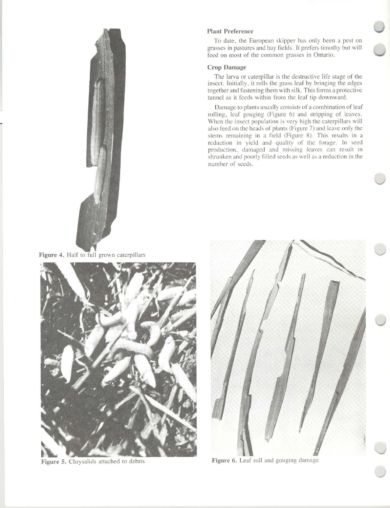

Figure 4. Half to full grown caterpillars



Figure 5. Chrysalids attached to debris

#### Plant Preference

To date, the European skipper has only been a pest on grasses in pastures and hay fields. It prefers timothy but will feed on most of the common grasses in Ontario.

## **Crop Damage**

The larva or caterpillar is the destructive life stage of the insect. Initially. it rolls the grass leaf by bringing the edges together and fastening them with silk. This forms a protective tunnel as it feeds within from the leaf tip downward.

Damage to plants usually consists of a combination of leaf rolling. leaf gouging (Figure 6) and stripping of leaves. When the insect population is very high the caterpillars will also feed on the heads of plants (Figure 7) and leave only the stems remaining in a field (Figure 8). This results in a reduction in yield and quality of the forage. In seed production. damaged and missing leaves can result in shrunken and poorly filled seeds as well as a reduction in the number of seeds.

![](_page_1_Picture_9.jpeg)

**Figure 6.** Leaf roll and gouging damage